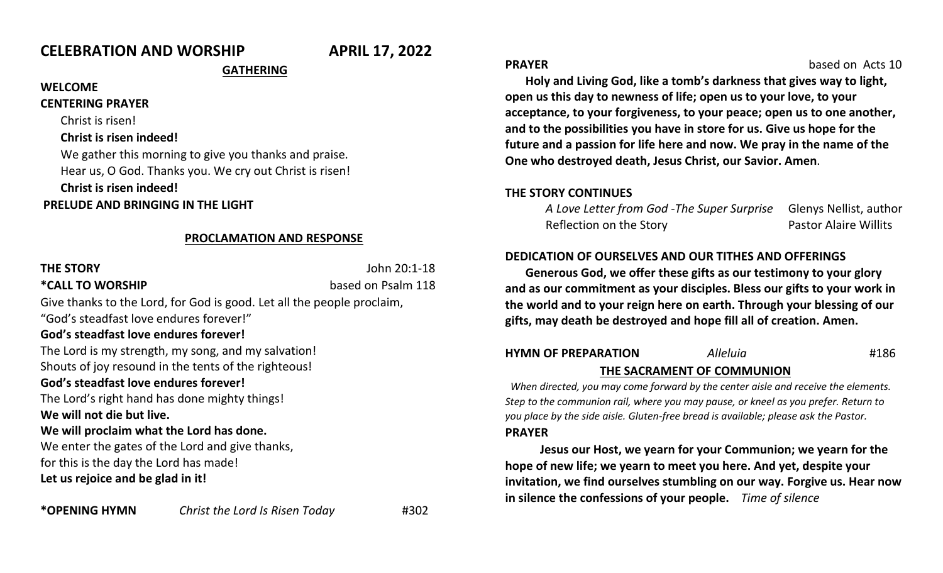# **CELEBRATION AND WORSHIP APRIL 17, 2022**

# **GATHERING**

#### **WELCOME**

**CENTERING PRAYER** 

Christ is risen!

#### **Christ is risen indeed!**

We gather this morning to give you thanks and praise. Hear us, O God. Thanks you. We cry out Christ is risen!

**Christ is risen indeed!** 

**PRELUDE AND BRINGING IN THE LIGHT**

#### **PROCLAMATION AND RESPONSE**

| <b>THE STORY</b>                                                       | John 20:1-18       |
|------------------------------------------------------------------------|--------------------|
| *CALL TO WORSHIP                                                       | based on Psalm 118 |
| Give thanks to the Lord, for God is good. Let all the people proclaim, |                    |
| "God's steadfast love endures forever!"                                |                    |
| God's steadfast love endures forever!                                  |                    |
| The Lord is my strength, my song, and my salvation!                    |                    |
| Shouts of joy resound in the tents of the righteous!                   |                    |
| God's steadfast love endures forever!                                  |                    |
| The Lord's right hand has done mighty things!                          |                    |
| We will not die but live.                                              |                    |
| We will proclaim what the Lord has done.                               |                    |
| We enter the gates of the Lord and give thanks,                        |                    |
| for this is the day the Lord has made!                                 |                    |
| Let us rejoice and be glad in it!                                      |                    |
|                                                                        |                    |

**PRAYER based on Acts 10** 

**Holy and Living God, like a tomb's darkness that gives way to light, open us this day to newness of life; open us to your love, to your acceptance, to your forgiveness, to your peace; open us to one another, and to the possibilities you have in store for us. Give us hope for the future and a passion for life here and now. We pray in the name of the One who destroyed death, Jesus Christ, our Savior. Amen**.

#### **THE STORY CONTINUES**

*A Love Letter from God* -*The Super Surprise* Glenys Nellist, author Reflection on the Story **Pastor Alaire Willits** 

## **DEDICATION OF OURSELVES AND OUR TITHES AND OFFERINGS**

**Generous God, we offer these gifts as our testimony to your glory and as our commitment as your disciples. Bless our gifts to your work in the world and to your reign here on earth. Through your blessing of our gifts, may death be destroyed and hope fill all of creation. Amen.**

# **HYMN OF PREPARATION** *Alleluia* #186  **THE SACRAMENT OF COMMUNION**

*When directed, you may come forward by the center aisle and receive the elements. Step to the communion rail, where you may pause, or kneel as you prefer. Return to you place by the side aisle. Gluten-free bread is available; please ask the Pastor.*  **PRAYER**

 **Jesus our Host, we yearn for your Communion; we yearn for the hope of new life; we yearn to meet you here. And yet, despite your invitation, we find ourselves stumbling on our way. Forgive us. Hear now in silence the confessions of your people.** *Time of silence*